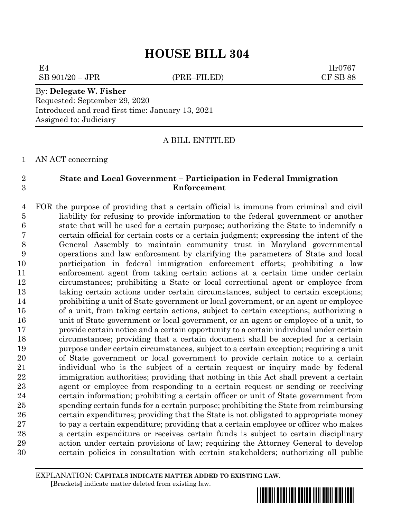# **HOUSE BILL 304**

 $E4$  1lr0767

 $SB\ 901/20 - JPR$  (PRE–FILED) CF SB 88

### By: **Delegate W. Fisher** Requested: September 29, 2020 Introduced and read first time: January 13, 2021 Assigned to: Judiciary

# A BILL ENTITLED

AN ACT concerning

# **State and Local Government – Participation in Federal Immigration Enforcement**

 FOR the purpose of providing that a certain official is immune from criminal and civil liability for refusing to provide information to the federal government or another state that will be used for a certain purpose; authorizing the State to indemnify a certain official for certain costs or a certain judgment; expressing the intent of the General Assembly to maintain community trust in Maryland governmental operations and law enforcement by clarifying the parameters of State and local participation in federal immigration enforcement efforts; prohibiting a law enforcement agent from taking certain actions at a certain time under certain circumstances; prohibiting a State or local correctional agent or employee from taking certain actions under certain circumstances, subject to certain exceptions; prohibiting a unit of State government or local government, or an agent or employee of a unit, from taking certain actions, subject to certain exceptions; authorizing a unit of State government or local government, or an agent or employee of a unit, to provide certain notice and a certain opportunity to a certain individual under certain circumstances; providing that a certain document shall be accepted for a certain purpose under certain circumstances, subject to a certain exception; requiring a unit of State government or local government to provide certain notice to a certain individual who is the subject of a certain request or inquiry made by federal immigration authorities; providing that nothing in this Act shall prevent a certain agent or employee from responding to a certain request or sending or receiving certain information; prohibiting a certain officer or unit of State government from spending certain funds for a certain purpose; prohibiting the State from reimbursing certain expenditures; providing that the State is not obligated to appropriate money 27 to pay a certain expenditure; providing that a certain employee or officer who makes a certain expenditure or receives certain funds is subject to certain disciplinary action under certain provisions of law; requiring the Attorney General to develop certain policies in consultation with certain stakeholders; authorizing all public

EXPLANATION: **CAPITALS INDICATE MATTER ADDED TO EXISTING LAW**.  **[**Brackets**]** indicate matter deleted from existing law.

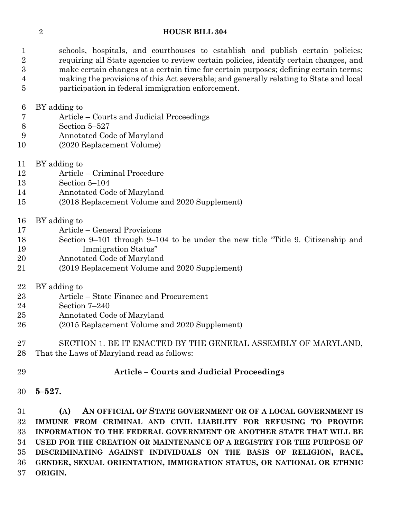### **HOUSE BILL 304**

 schools, hospitals, and courthouses to establish and publish certain policies; requiring all State agencies to review certain policies, identify certain changes, and make certain changes at a certain time for certain purposes; defining certain terms; making the provisions of this Act severable; and generally relating to State and local participation in federal immigration enforcement.

BY adding to

- Article Courts and Judicial Proceedings
- Section 5–527
- Annotated Code of Maryland
- (2020 Replacement Volume)
- BY adding to
- Article Criminal Procedure
- Section 5–104
- Annotated Code of Maryland
- (2018 Replacement Volume and 2020 Supplement)
- BY adding to
- Article General Provisions
- Section 9–101 through 9–104 to be under the new title "Title 9. Citizenship and Immigration Status"
- Annotated Code of Maryland
- (2019 Replacement Volume and 2020 Supplement)
- BY adding to
- Article State Finance and Procurement
- Section 7–240
- Annotated Code of Maryland
- (2015 Replacement Volume and 2020 Supplement)
- SECTION 1. BE IT ENACTED BY THE GENERAL ASSEMBLY OF MARYLAND, That the Laws of Maryland read as follows:
- **Article – Courts and Judicial Proceedings**
- **5–527.**

 **(A) AN OFFICIAL OF STATE GOVERNMENT OR OF A LOCAL GOVERNMENT IS IMMUNE FROM CRIMINAL AND CIVIL LIABILITY FOR REFUSING TO PROVIDE INFORMATION TO THE FEDERAL GOVERNMENT OR ANOTHER STATE THAT WILL BE USED FOR THE CREATION OR MAINTENANCE OF A REGISTRY FOR THE PURPOSE OF DISCRIMINATING AGAINST INDIVIDUALS ON THE BASIS OF RELIGION, RACE, GENDER, SEXUAL ORIENTATION, IMMIGRATION STATUS, OR NATIONAL OR ETHNIC ORIGIN.**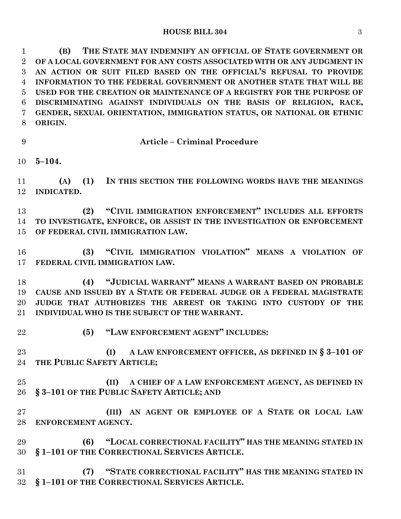### **HOUSE BILL 304** 3

 **(B) THE STATE MAY INDEMNIFY AN OFFICIAL OF STATE GOVERNMENT OR OF A LOCAL GOVERNMENT FOR ANY COSTS ASSOCIATED WITH OR ANY JUDGMENT IN AN ACTION OR SUIT FILED BASED ON THE OFFICIAL'S REFUSAL TO PROVIDE INFORMATION TO THE FEDERAL GOVERNMENT OR ANOTHER STATE THAT WILL BE USED FOR THE CREATION OR MAINTENANCE OF A REGISTRY FOR THE PURPOSE OF DISCRIMINATING AGAINST INDIVIDUALS ON THE BASIS OF RELIGION, RACE, GENDER, SEXUAL ORIENTATION, IMMIGRATION STATUS, OR NATIONAL OR ETHNIC ORIGIN.**

**Article – Criminal Procedure**

**5–104.**

 **(A) (1) IN THIS SECTION THE FOLLOWING WORDS HAVE THE MEANINGS INDICATED.**

 **(2) "CIVIL IMMIGRATION ENFORCEMENT" INCLUDES ALL EFFORTS TO INVESTIGATE, ENFORCE, OR ASSIST IN THE INVESTIGATION OR ENFORCEMENT OF FEDERAL CIVIL IMMIGRATION LAW.**

 **(3) "CIVIL IMMIGRATION VIOLATION" MEANS A VIOLATION OF FEDERAL CIVIL IMMIGRATION LAW.**

 **(4) "JUDICIAL WARRANT" MEANS A WARRANT BASED ON PROBABLE CAUSE AND ISSUED BY A STATE OR FEDERAL JUDGE OR A FEDERAL MAGISTRATE JUDGE THAT AUTHORIZES THE ARREST OR TAKING INTO CUSTODY OF THE INDIVIDUAL WHO IS THE SUBJECT OF THE WARRANT.**

- 
- **(5) "LAW ENFORCEMENT AGENT" INCLUDES:**

 **(I) A LAW ENFORCEMENT OFFICER, AS DEFINED IN § 3–101 OF THE PUBLIC SAFETY ARTICLE;**

 **(II) A CHIEF OF A LAW ENFORCEMENT AGENCY, AS DEFINED IN § 3–101 OF THE PUBLIC SAFETY ARTICLE; AND**

 **(III) AN AGENT OR EMPLOYEE OF A STATE OR LOCAL LAW ENFORCEMENT AGENCY.**

 **(6) "LOCAL CORRECTIONAL FACILITY" HAS THE MEANING STATED IN § 1–101 OF THE CORRECTIONAL SERVICES ARTICLE.**

 **(7) "STATE CORRECTIONAL FACILITY" HAS THE MEANING STATED IN § 1–101 OF THE CORRECTIONAL SERVICES ARTICLE.**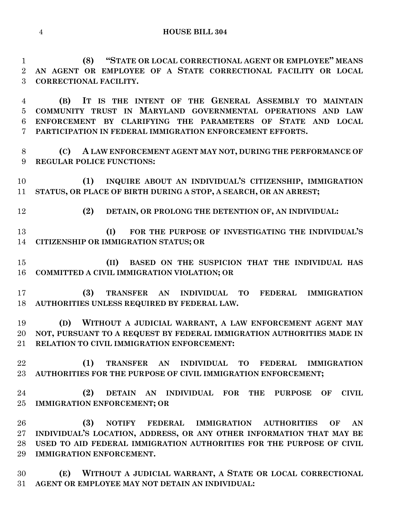**(8) "STATE OR LOCAL CORRECTIONAL AGENT OR EMPLOYEE" MEANS AN AGENT OR EMPLOYEE OF A STATE CORRECTIONAL FACILITY OR LOCAL CORRECTIONAL FACILITY.**

 **(B) IT IS THE INTENT OF THE GENERAL ASSEMBLY TO MAINTAIN COMMUNITY TRUST IN MARYLAND GOVERNMENTAL OPERATIONS AND LAW ENFORCEMENT BY CLARIFYING THE PARAMETERS OF STATE AND LOCAL PARTICIPATION IN FEDERAL IMMIGRATION ENFORCEMENT EFFORTS.**

 **(C) A LAW ENFORCEMENT AGENT MAY NOT, DURING THE PERFORMANCE OF REGULAR POLICE FUNCTIONS:**

 **(1) INQUIRE ABOUT AN INDIVIDUAL'S CITIZENSHIP, IMMIGRATION STATUS, OR PLACE OF BIRTH DURING A STOP, A SEARCH, OR AN ARREST;**

**(2) DETAIN, OR PROLONG THE DETENTION OF, AN INDIVIDUAL:**

 **(I) FOR THE PURPOSE OF INVESTIGATING THE INDIVIDUAL'S CITIZENSHIP OR IMMIGRATION STATUS; OR**

 **(II) BASED ON THE SUSPICION THAT THE INDIVIDUAL HAS COMMITTED A CIVIL IMMIGRATION VIOLATION; OR**

 **(3) TRANSFER AN INDIVIDUAL TO FEDERAL IMMIGRATION AUTHORITIES UNLESS REQUIRED BY FEDERAL LAW.**

 **(D) WITHOUT A JUDICIAL WARRANT, A LAW ENFORCEMENT AGENT MAY NOT, PURSUANT TO A REQUEST BY FEDERAL IMMIGRATION AUTHORITIES MADE IN RELATION TO CIVIL IMMIGRATION ENFORCEMENT:**

 **(1) TRANSFER AN INDIVIDUAL TO FEDERAL IMMIGRATION AUTHORITIES FOR THE PURPOSE OF CIVIL IMMIGRATION ENFORCEMENT;**

 **(2) DETAIN AN INDIVIDUAL FOR THE PURPOSE OF CIVIL IMMIGRATION ENFORCEMENT; OR**

 **(3) NOTIFY FEDERAL IMMIGRATION AUTHORITIES OF AN INDIVIDUAL'S LOCATION, ADDRESS, OR ANY OTHER INFORMATION THAT MAY BE USED TO AID FEDERAL IMMIGRATION AUTHORITIES FOR THE PURPOSE OF CIVIL IMMIGRATION ENFORCEMENT.**

 **(E) WITHOUT A JUDICIAL WARRANT, A STATE OR LOCAL CORRECTIONAL AGENT OR EMPLOYEE MAY NOT DETAIN AN INDIVIDUAL:**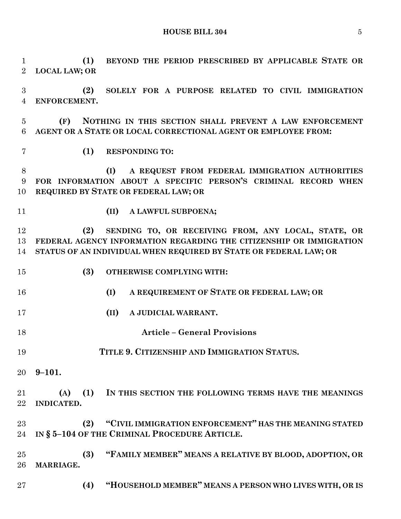**HOUSE BILL 304** 5

 **(1) BEYOND THE PERIOD PRESCRIBED BY APPLICABLE STATE OR LOCAL LAW; OR**

 **(2) SOLELY FOR A PURPOSE RELATED TO CIVIL IMMIGRATION ENFORCEMENT.**

 **(F) NOTHING IN THIS SECTION SHALL PREVENT A LAW ENFORCEMENT AGENT OR A STATE OR LOCAL CORRECTIONAL AGENT OR EMPLOYEE FROM:**

**(1) RESPONDING TO:**

 **(I) A REQUEST FROM FEDERAL IMMIGRATION AUTHORITIES FOR INFORMATION ABOUT A SPECIFIC PERSON'S CRIMINAL RECORD WHEN REQUIRED BY STATE OR FEDERAL LAW; OR**

- 
- **(II) A LAWFUL SUBPOENA;**

 **(2) SENDING TO, OR RECEIVING FROM, ANY LOCAL, STATE, OR FEDERAL AGENCY INFORMATION REGARDING THE CITIZENSHIP OR IMMIGRATION STATUS OF AN INDIVIDUAL WHEN REQUIRED BY STATE OR FEDERAL LAW; OR** 

- **(3) OTHERWISE COMPLYING WITH:**
- **(I) A REQUIREMENT OF STATE OR FEDERAL LAW; OR**
- **(II) A JUDICIAL WARRANT.**
- **Article – General Provisions**
- **TITLE 9. CITIZENSHIP AND IMMIGRATION STATUS.**
- **9–101.**

 **(A) (1) IN THIS SECTION THE FOLLOWING TERMS HAVE THE MEANINGS INDICATED.**

 **(2) "CIVIL IMMIGRATION ENFORCEMENT" HAS THE MEANING STATED IN § 5–104 OF THE CRIMINAL PROCEDURE ARTICLE.**

 **(3) "FAMILY MEMBER" MEANS A RELATIVE BY BLOOD, ADOPTION, OR MARRIAGE.**

**(4) "HOUSEHOLD MEMBER" MEANS A PERSON WHO LIVES WITH, OR IS**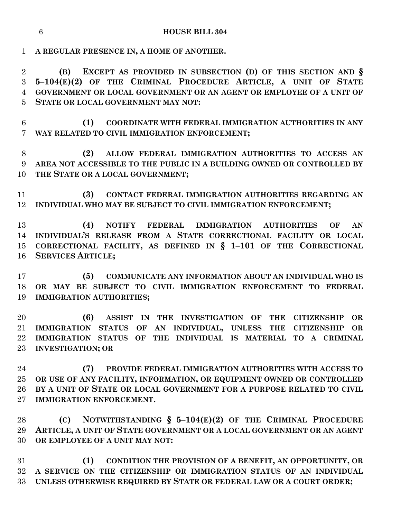**A REGULAR PRESENCE IN, A HOME OF ANOTHER.**

 **(B) EXCEPT AS PROVIDED IN SUBSECTION (D) OF THIS SECTION AND § 5–104(E)(2) OF THE CRIMINAL PROCEDURE ARTICLE, A UNIT OF STATE GOVERNMENT OR LOCAL GOVERNMENT OR AN AGENT OR EMPLOYEE OF A UNIT OF STATE OR LOCAL GOVERNMENT MAY NOT:**

 **(1) COORDINATE WITH FEDERAL IMMIGRATION AUTHORITIES IN ANY WAY RELATED TO CIVIL IMMIGRATION ENFORCEMENT;**

 **(2) ALLOW FEDERAL IMMIGRATION AUTHORITIES TO ACCESS AN AREA NOT ACCESSIBLE TO THE PUBLIC IN A BUILDING OWNED OR CONTROLLED BY THE STATE OR A LOCAL GOVERNMENT;**

 **(3) CONTACT FEDERAL IMMIGRATION AUTHORITIES REGARDING AN INDIVIDUAL WHO MAY BE SUBJECT TO CIVIL IMMIGRATION ENFORCEMENT;**

 **(4) NOTIFY FEDERAL IMMIGRATION AUTHORITIES OF AN INDIVIDUAL'S RELEASE FROM A STATE CORRECTIONAL FACILITY OR LOCAL CORRECTIONAL FACILITY, AS DEFINED IN § 1–101 OF THE CORRECTIONAL SERVICES ARTICLE;**

 **(5) COMMUNICATE ANY INFORMATION ABOUT AN INDIVIDUAL WHO IS OR MAY BE SUBJECT TO CIVIL IMMIGRATION ENFORCEMENT TO FEDERAL IMMIGRATION AUTHORITIES;**

 **(6) ASSIST IN THE INVESTIGATION OF THE CITIZENSHIP OR IMMIGRATION STATUS OF AN INDIVIDUAL, UNLESS THE CITIZENSHIP OR IMMIGRATION STATUS OF THE INDIVIDUAL IS MATERIAL TO A CRIMINAL INVESTIGATION; OR**

 **(7) PROVIDE FEDERAL IMMIGRATION AUTHORITIES WITH ACCESS TO OR USE OF ANY FACILITY, INFORMATION, OR EQUIPMENT OWNED OR CONTROLLED BY A UNIT OF STATE OR LOCAL GOVERNMENT FOR A PURPOSE RELATED TO CIVIL IMMIGRATION ENFORCEMENT.**

 **(C) NOTWITHSTANDING § 5–104(E)(2) OF THE CRIMINAL PROCEDURE ARTICLE, A UNIT OF STATE GOVERNMENT OR A LOCAL GOVERNMENT OR AN AGENT OR EMPLOYEE OF A UNIT MAY NOT:**

 **(1) CONDITION THE PROVISION OF A BENEFIT, AN OPPORTUNITY, OR A SERVICE ON THE CITIZENSHIP OR IMMIGRATION STATUS OF AN INDIVIDUAL UNLESS OTHERWISE REQUIRED BY STATE OR FEDERAL LAW OR A COURT ORDER;**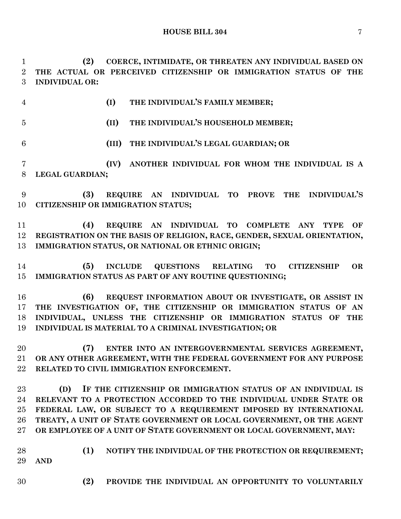**(2) COERCE, INTIMIDATE, OR THREATEN ANY INDIVIDUAL BASED ON THE ACTUAL OR PERCEIVED CITIZENSHIP OR IMMIGRATION STATUS OF THE INDIVIDUAL OR:**

**(I) THE INDIVIDUAL'S FAMILY MEMBER;**

- **(II) THE INDIVIDUAL'S HOUSEHOLD MEMBER; (III) THE INDIVIDUAL'S LEGAL GUARDIAN; OR (IV) ANOTHER INDIVIDUAL FOR WHOM THE INDIVIDUAL IS A LEGAL GUARDIAN;**
- **(3) REQUIRE AN INDIVIDUAL TO PROVE THE INDIVIDUAL'S CITIZENSHIP OR IMMIGRATION STATUS;**
- **(4) REQUIRE AN INDIVIDUAL TO COMPLETE ANY TYPE OF REGISTRATION ON THE BASIS OF RELIGION, RACE, GENDER, SEXUAL ORIENTATION, IMMIGRATION STATUS, OR NATIONAL OR ETHNIC ORIGIN;**
- **(5) INCLUDE QUESTIONS RELATING TO CITIZENSHIP OR IMMIGRATION STATUS AS PART OF ANY ROUTINE QUESTIONING;**
- **(6) REQUEST INFORMATION ABOUT OR INVESTIGATE, OR ASSIST IN THE INVESTIGATION OF, THE CITIZENSHIP OR IMMIGRATION STATUS OF AN INDIVIDUAL, UNLESS THE CITIZENSHIP OR IMMIGRATION STATUS OF THE INDIVIDUAL IS MATERIAL TO A CRIMINAL INVESTIGATION; OR**
- **(7) ENTER INTO AN INTERGOVERNMENTAL SERVICES AGREEMENT, OR ANY OTHER AGREEMENT, WITH THE FEDERAL GOVERNMENT FOR ANY PURPOSE RELATED TO CIVIL IMMIGRATION ENFORCEMENT.**
- **(D) IF THE CITIZENSHIP OR IMMIGRATION STATUS OF AN INDIVIDUAL IS RELEVANT TO A PROTECTION ACCORDED TO THE INDIVIDUAL UNDER STATE OR FEDERAL LAW, OR SUBJECT TO A REQUIREMENT IMPOSED BY INTERNATIONAL TREATY, A UNIT OF STATE GOVERNMENT OR LOCAL GOVERNMENT, OR THE AGENT OR EMPLOYEE OF A UNIT OF STATE GOVERNMENT OR LOCAL GOVERNMENT, MAY:**
- **(1) NOTIFY THE INDIVIDUAL OF THE PROTECTION OR REQUIREMENT; AND**
- **(2) PROVIDE THE INDIVIDUAL AN OPPORTUNITY TO VOLUNTARILY**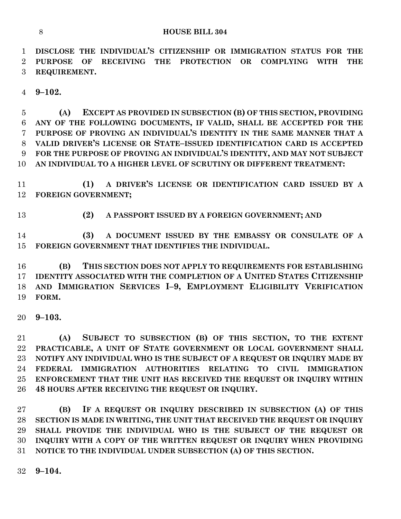**DISCLOSE THE INDIVIDUAL'S CITIZENSHIP OR IMMIGRATION STATUS FOR THE PURPOSE OF RECEIVING THE PROTECTION OR COMPLYING WITH THE REQUIREMENT.**

**9–102.**

 **(A) EXCEPT AS PROVIDED IN SUBSECTION (B) OF THIS SECTION, PROVIDING ANY OF THE FOLLOWING DOCUMENTS, IF VALID, SHALL BE ACCEPTED FOR THE PURPOSE OF PROVING AN INDIVIDUAL'S IDENTITY IN THE SAME MANNER THAT A VALID DRIVER'S LICENSE OR STATE–ISSUED IDENTIFICATION CARD IS ACCEPTED FOR THE PURPOSE OF PROVING AN INDIVIDUAL'S IDENTITY, AND MAY NOT SUBJECT AN INDIVIDUAL TO A HIGHER LEVEL OF SCRUTINY OR DIFFERENT TREATMENT:**

 **(1) A DRIVER'S LICENSE OR IDENTIFICATION CARD ISSUED BY A FOREIGN GOVERNMENT;**

**(2) A PASSPORT ISSUED BY A FOREIGN GOVERNMENT; AND**

 **(3) A DOCUMENT ISSUED BY THE EMBASSY OR CONSULATE OF A FOREIGN GOVERNMENT THAT IDENTIFIES THE INDIVIDUAL.**

 **(B) THIS SECTION DOES NOT APPLY TO REQUIREMENTS FOR ESTABLISHING IDENTITY ASSOCIATED WITH THE COMPLETION OF A UNITED STATES CITIZENSHIP AND IMMIGRATION SERVICES I–9, EMPLOYMENT ELIGIBILITY VERIFICATION FORM.**

**9–103.**

 **(A) SUBJECT TO SUBSECTION (B) OF THIS SECTION, TO THE EXTENT PRACTICABLE, A UNIT OF STATE GOVERNMENT OR LOCAL GOVERNMENT SHALL NOTIFY ANY INDIVIDUAL WHO IS THE SUBJECT OF A REQUEST OR INQUIRY MADE BY FEDERAL IMMIGRATION AUTHORITIES RELATING TO CIVIL IMMIGRATION ENFORCEMENT THAT THE UNIT HAS RECEIVED THE REQUEST OR INQUIRY WITHIN 48 HOURS AFTER RECEIVING THE REQUEST OR INQUIRY.**

 **(B) IF A REQUEST OR INQUIRY DESCRIBED IN SUBSECTION (A) OF THIS SECTION IS MADE IN WRITING, THE UNIT THAT RECEIVED THE REQUEST OR INQUIRY SHALL PROVIDE THE INDIVIDUAL WHO IS THE SUBJECT OF THE REQUEST OR INQUIRY WITH A COPY OF THE WRITTEN REQUEST OR INQUIRY WHEN PROVIDING NOTICE TO THE INDIVIDUAL UNDER SUBSECTION (A) OF THIS SECTION.**

**9–104.**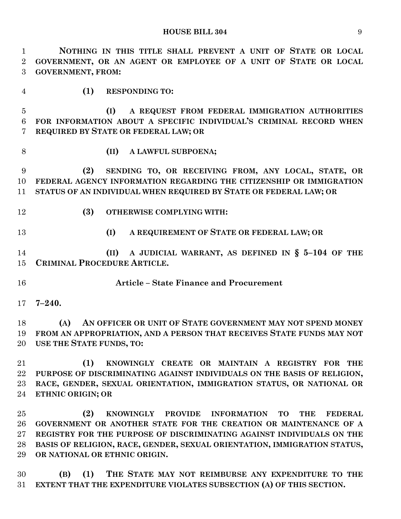| $\mathbf{1}$   | NOTHING IN THIS TITLE SHALL PREVENT A UNIT OF STATE OR LOCAL                                                 |
|----------------|--------------------------------------------------------------------------------------------------------------|
| $\overline{2}$ | GOVERNMENT, OR AN AGENT OR EMPLOYEE OF A UNIT OF STATE OR LOCAL                                              |
| 3              | <b>GOVERNMENT, FROM:</b>                                                                                     |
| $\overline{4}$ | (1)<br><b>RESPONDING TO:</b>                                                                                 |
| $\overline{5}$ | A REQUEST FROM FEDERAL IMMIGRATION AUTHORITIES<br>(I)                                                        |
| 6              | FOR INFORMATION ABOUT A SPECIFIC INDIVIDUAL'S CRIMINAL RECORD WHEN                                           |
| 7              | REQUIRED BY STATE OR FEDERAL LAW; OR                                                                         |
| 8              | (II)<br>A LAWFUL SUBPOENA;                                                                                   |
| 9              | SENDING TO, OR RECEIVING FROM, ANY LOCAL, STATE, OR<br>(2)                                                   |
| 10             | FEDERAL AGENCY INFORMATION REGARDING THE CITIZENSHIP OR IMMIGRATION                                          |
| 11             | STATUS OF AN INDIVIDUAL WHEN REQUIRED BY STATE OR FEDERAL LAW; OR                                            |
| 12             | (3)<br><b>OTHERWISE COMPLYING WITH:</b>                                                                      |
| 13             | A REQUIREMENT OF STATE OR FEDERAL LAW; OR<br>(I)                                                             |
| 14             | A JUDICIAL WARRANT, AS DEFINED IN $\S$ 5-104 OF THE<br>(II)                                                  |
| 15             | CRIMINAL PROCEDURE ARTICLE.                                                                                  |
| 16             | <b>Article - State Finance and Procurement</b>                                                               |
| $17 \,$        | $7 - 240.$                                                                                                   |
| 18             | AN OFFICER OR UNIT OF STATE GOVERNMENT MAY NOT SPEND MONEY<br>(A)                                            |
| 19             | FROM AN APPROPRIATION, AND A PERSON THAT RECEIVES STATE FUNDS MAY NOT                                        |
| 20             | USE THE STATE FUNDS, TO:                                                                                     |
| 21             | KNOWINGLY CREATE OR MAINTAIN A REGISTRY FOR THE<br>(1)                                                       |
| 22             | PURPOSE OF DISCRIMINATING AGAINST INDIVIDUALS ON THE BASIS OF RELIGION,                                      |
| 23             | RACE, GENDER, SEXUAL ORIENTATION, IMMIGRATION STATUS, OR NATIONAL OR                                         |
| 24             | ETHNIC ORIGIN; OR                                                                                            |
| $25\,$         | (2)<br><b>KNOWINGLY</b><br><b>PROVIDE</b><br><b>FEDERAL</b><br><b>INFORMATION</b><br><b>TO</b><br><b>THE</b> |
| 26             | GOVERNMENT OR ANOTHER STATE FOR THE CREATION OR MAINTENANCE OF A                                             |
| $27\,$         | REGISTRY FOR THE PURPOSE OF DISCRIMINATING AGAINST INDIVIDUALS ON THE                                        |
| 28             | BASIS OF RELIGION, RACE, GENDER, SEXUAL ORIENTATION, IMMIGRATION STATUS,                                     |
| 29             | OR NATIONAL OR ETHNIC ORIGIN.                                                                                |
|                |                                                                                                              |

 **(B) (1) THE STATE MAY NOT REIMBURSE ANY EXPENDITURE TO THE EXTENT THAT THE EXPENDITURE VIOLATES SUBSECTION (A) OF THIS SECTION.**